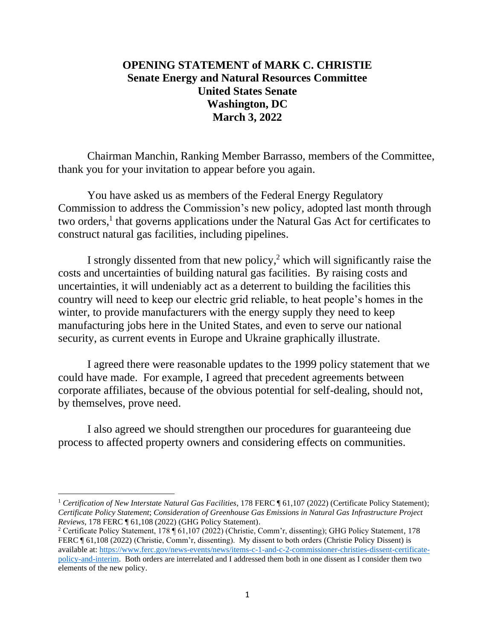## **OPENING STATEMENT of MARK C. CHRISTIE Senate Energy and Natural Resources Committee United States Senate Washington, DC March 3, 2022**

Chairman Manchin, Ranking Member Barrasso, members of the Committee, thank you for your invitation to appear before you again.

You have asked us as members of the Federal Energy Regulatory Commission to address the Commission's new policy, adopted last month through two orders,<sup>1</sup> that governs applications under the Natural Gas Act for certificates to construct natural gas facilities, including pipelines.

I strongly dissented from that new policy, <sup>2</sup> which will significantly raise the costs and uncertainties of building natural gas facilities. By raising costs and uncertainties, it will undeniably act as a deterrent to building the facilities this country will need to keep our electric grid reliable, to heat people's homes in the winter, to provide manufacturers with the energy supply they need to keep manufacturing jobs here in the United States, and even to serve our national security, as current events in Europe and Ukraine graphically illustrate.

I agreed there were reasonable updates to the 1999 policy statement that we could have made. For example, I agreed that precedent agreements between corporate affiliates, because of the obvious potential for self-dealing, should not, by themselves, prove need.

I also agreed we should strengthen our procedures for guaranteeing due process to affected property owners and considering effects on communities.

<sup>&</sup>lt;sup>1</sup> Certification of New Interstate Natural Gas Facilities, 178 FERC ¶ 61,107 (2022) (Certificate Policy Statement); *Certificate Policy Statement*; *Consideration of Greenhouse Gas Emissions in Natural Gas Infrastructure Project Reviews*, 178 FERC ¶ 61,108 (2022) (GHG Policy Statement).

<sup>2</sup> Certificate Policy Statement, 178 ¶ 61,107 (2022) (Christie, Comm'r, dissenting); GHG Policy Statement, 178 FERC ¶ 61,108 (2022) (Christie, Comm'r, dissenting). My dissent to both orders (Christie Policy Dissent) is available at: [https://www.ferc.gov/news-events/news/items-c-1-and-c-2-commissioner-christies-dissent-certificate](https://www.ferc.gov/news-events/news/items-c-1-and-c-2-commissioner-christies-dissent-certificate-policy-and-interim)[policy-and-interim.](https://www.ferc.gov/news-events/news/items-c-1-and-c-2-commissioner-christies-dissent-certificate-policy-and-interim) Both orders are interrelated and I addressed them both in one dissent as I consider them two elements of the new policy.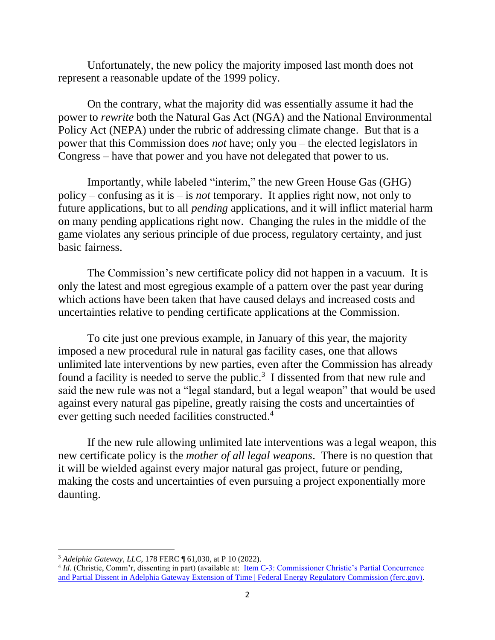Unfortunately, the new policy the majority imposed last month does not represent a reasonable update of the 1999 policy.

On the contrary, what the majority did was essentially assume it had the power to *rewrite* both the Natural Gas Act (NGA) and the National Environmental Policy Act (NEPA) under the rubric of addressing climate change. But that is a power that this Commission does *not* have; only you – the elected legislators in Congress – have that power and you have not delegated that power to us.

Importantly, while labeled "interim," the new Green House Gas (GHG) policy – confusing as it is – is *not* temporary. It applies right now, not only to future applications, but to all *pending* applications, and it will inflict material harm on many pending applications right now. Changing the rules in the middle of the game violates any serious principle of due process, regulatory certainty, and just basic fairness.

The Commission's new certificate policy did not happen in a vacuum. It is only the latest and most egregious example of a pattern over the past year during which actions have been taken that have caused delays and increased costs and uncertainties relative to pending certificate applications at the Commission.

To cite just one previous example, in January of this year, the majority imposed a new procedural rule in natural gas facility cases, one that allows unlimited late interventions by new parties, even after the Commission has already found a facility is needed to serve the public.<sup>3</sup> I dissented from that new rule and said the new rule was not a "legal standard, but a legal weapon" that would be used against every natural gas pipeline, greatly raising the costs and uncertainties of ever getting such needed facilities constructed.<sup>4</sup>

If the new rule allowing unlimited late interventions was a legal weapon, this new certificate policy is the *mother of all legal weapons*. There is no question that it will be wielded against every major natural gas project, future or pending, making the costs and uncertainties of even pursuing a project exponentially more daunting.

<sup>3</sup> *Adelphia Gateway, LLC*, 178 FERC ¶ 61,030, at P 10 (2022).

<sup>&</sup>lt;sup>4</sup> *Id.* (Christie, Comm'r, dissenting in part) (available at: <u>Item C-3: Commissioner Christie's Partial Concurrence</u> [and Partial Dissent in Adelphia Gateway Extension of Time | Federal Energy Regulatory Commission \(ferc.gov\).](https://www.ferc.gov/news-events/news/item-c-3-commissioner-christies-partial-concurrence-and-partial-dissent-adelphia)